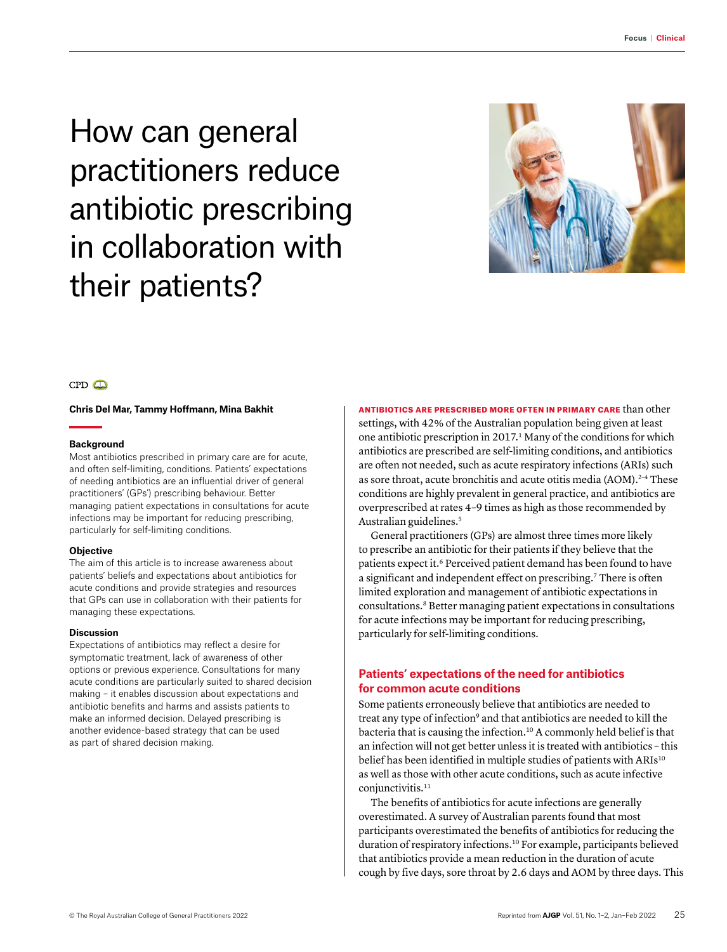How can general practitioners reduce antibiotic prescribing in collaboration with their patients?



# $CPD$

#### **Chris Del Mar, Tammy Hoffmann, Mina Bakhit**

### **Background**

Most antibiotics prescribed in primary care are for acute, and often self-limiting, conditions. Patients' expectations of needing antibiotics are an influential driver of general practitioners' (GPs') prescribing behaviour. Better managing patient expectations in consultations for acute infections may be important for reducing prescribing, particularly for self-limiting conditions.

#### **Objective**

The aim of this article is to increase awareness about patients' beliefs and expectations about antibiotics for acute conditions and provide strategies and resources that GPs can use in collaboration with their patients for managing these expectations.

#### **Discussion**

Expectations of antibiotics may reflect a desire for symptomatic treatment, lack of awareness of other options or previous experience. Consultations for many acute conditions are particularly suited to shared decision making – it enables discussion about expectations and antibiotic benefits and harms and assists patients to make an informed decision. Delayed prescribing is another evidence-based strategy that can be used as part of shared decision making.

ANTIBIOTICS ARE PRESCRIBED MORE OFTEN IN PRIMARY CARE than other settings, with 42% of the Australian population being given at least one antibiotic prescription in 2017.1 Many of the conditions for which antibiotics are prescribed are self-limiting conditions, and antibiotics are often not needed, such as acute respiratory infections (ARIs) such as sore throat, acute bronchitis and acute otitis media (AOM).<sup>2-4</sup> These conditions are highly prevalent in general practice, and antibiotics are overprescribed at rates 4–9 times as high as those recommended by Australian guidelines.5

General practitioners (GPs) are almost three times more likely to prescribe an antibiotic for their patients if they believe that the patients expect it.<sup>6</sup> Perceived patient demand has been found to have a significant and independent effect on prescribing.<sup>7</sup> There is often limited exploration and management of antibiotic expectations in consultations.8 Better managing patient expectations in consultations for acute infections may be important for reducing prescribing, particularly for self-limiting conditions.

# **Patients' expectations of the need for antibiotics for common acute conditions**

Some patients erroneously believe that antibiotics are needed to treat any type of infection<sup>9</sup> and that antibiotics are needed to kill the bacteria that is causing the infection.10 A commonly held belief is that an infection will not get better unless it is treated with antibiotics – this belief has been identified in multiple studies of patients with ARIs<sup>10</sup> as well as those with other acute conditions, such as acute infective conjunctivitis.<sup>11</sup>

The benefits of antibiotics for acute infections are generally overestimated. A survey of Australian parents found that most participants overestimated the benefits of antibiotics for reducing the duration of respiratory infections.10 For example, participants believed that antibiotics provide a mean reduction in the duration of acute cough by five days, sore throat by 2.6 days and AOM by three days. This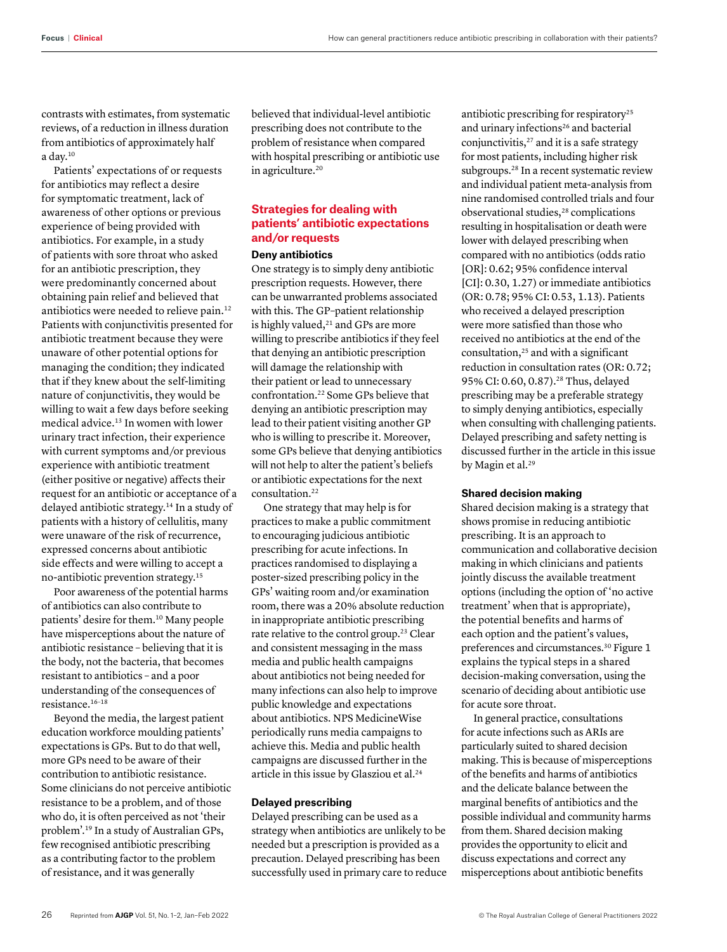contrasts with estimates, from systematic reviews, of a reduction in illness duration from antibiotics of approximately half a day.10

Patients' expectations of or requests for antibiotics may reflect a desire for symptomatic treatment, lack of awareness of other options or previous experience of being provided with antibiotics. For example, in a study of patients with sore throat who asked for an antibiotic prescription, they were predominantly concerned about obtaining pain relief and believed that antibiotics were needed to relieve pain.<sup>12</sup> Patients with conjunctivitis presented for antibiotic treatment because they were unaware of other potential options for managing the condition; they indicated that if they knew about the self-limiting nature of conjunctivitis, they would be willing to wait a few days before seeking medical advice.13 In women with lower urinary tract infection, their experience with current symptoms and/or previous experience with antibiotic treatment (either positive or negative) affects their request for an antibiotic or acceptance of a delayed antibiotic strategy.14 In a study of patients with a history of cellulitis, many were unaware of the risk of recurrence, expressed concerns about antibiotic side effects and were willing to accept a no-antibiotic prevention strategy.15

Poor awareness of the potential harms of antibiotics can also contribute to patients' desire for them.10 Many people have misperceptions about the nature of antibiotic resistance – believing that it is the body, not the bacteria, that becomes resistant to antibiotics – and a poor understanding of the consequences of resistance.16–18

Beyond the media, the largest patient education workforce moulding patients' expectations is GPs. But to do that well, more GPs need to be aware of their contribution to antibiotic resistance. Some clinicians do not perceive antibiotic resistance to be a problem, and of those who do, it is often perceived as not 'their problem'.19 In a study of Australian GPs, few recognised antibiotic prescribing as a contributing factor to the problem of resistance, and it was generally

believed that individual-level antibiotic prescribing does not contribute to the problem of resistance when compared with hospital prescribing or antibiotic use in agriculture.<sup>20</sup>

# **Strategies for dealing with patients' antibiotic expectations and/or requests**

### **Deny antibiotics**

One strategy is to simply deny antibiotic prescription requests. However, there can be unwarranted problems associated with this. The GP–patient relationship is highly valued,<sup>21</sup> and GPs are more willing to prescribe antibiotics if they feel that denying an antibiotic prescription will damage the relationship with their patient or lead to unnecessary confrontation.22 Some GPs believe that denying an antibiotic prescription may lead to their patient visiting another GP who is willing to prescribe it. Moreover, some GPs believe that denying antibiotics will not help to alter the patient's beliefs or antibiotic expectations for the next consultation.22

One strategy that may help is for practices to make a public commitment to encouraging judicious antibiotic prescribing for acute infections. In practices randomised to displaying a poster-sized prescribing policy in the GPs' waiting room and/or examination room, there was a 20% absolute reduction in inappropriate antibiotic prescribing rate relative to the control group.<sup>23</sup> Clear and consistent messaging in the mass media and public health campaigns about antibiotics not being needed for many infections can also help to improve public knowledge and expectations about antibiotics. NPS MedicineWise periodically runs media campaigns to achieve this. Media and public health campaigns are discussed further in the article in this issue by Glasziou et al.<sup>24</sup>

## **Delayed prescribing**

Delayed prescribing can be used as a strategy when antibiotics are unlikely to be needed but a prescription is provided as a precaution. Delayed prescribing has been successfully used in primary care to reduce antibiotic prescribing for respiratory25 and urinary infections<sup>26</sup> and bacterial conjunctivitis, $27$  and it is a safe strategy for most patients, including higher risk subgroups.28 In a recent systematic review and individual patient meta-analysis from nine randomised controlled trials and four observational studies,<sup>28</sup> complications resulting in hospitalisation or death were lower with delayed prescribing when compared with no antibiotics (odds ratio [OR]: 0.62; 95% confidence interval [CI]: 0.30, 1.27) or immediate antibiotics (OR: 0.78; 95% CI: 0.53, 1.13). Patients who received a delayed prescription were more satisfied than those who received no antibiotics at the end of the consultation, $25$  and with a significant reduction in consultation rates (OR: 0.72; 95% CI: 0.60, 0.87).<sup>28</sup> Thus, delayed prescribing may be a preferable strategy to simply denying antibiotics, especially when consulting with challenging patients. Delayed prescribing and safety netting is discussed further in the article in this issue by Magin et al.<sup>29</sup>

### **Shared decision making**

Shared decision making is a strategy that shows promise in reducing antibiotic prescribing. It is an approach to communication and collaborative decision making in which clinicians and patients jointly discuss the available treatment options (including the option of 'no active treatment' when that is appropriate), the potential benefits and harms of each option and the patient's values, preferences and circumstances.30 Figure 1 explains the typical steps in a shared decision-making conversation, using the scenario of deciding about antibiotic use for acute sore throat.

In general practice, consultations for acute infections such as ARIs are particularly suited to shared decision making. This is because of misperceptions of the benefits and harms of antibiotics and the delicate balance between the marginal benefits of antibiotics and the possible individual and community harms from them. Shared decision making provides the opportunity to elicit and discuss expectations and correct any misperceptions about antibiotic benefits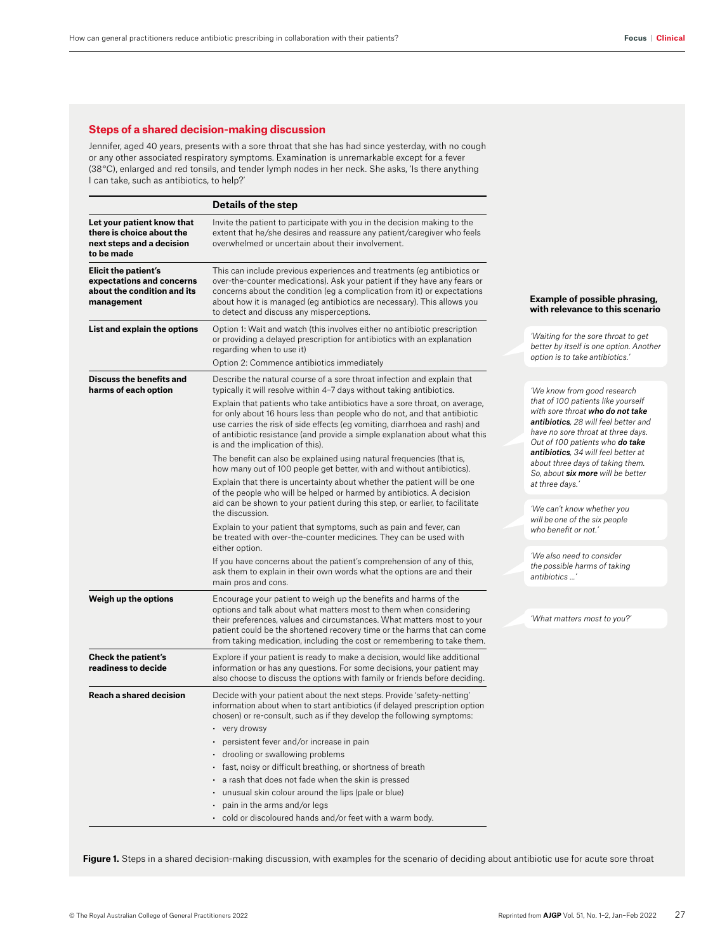## **Steps of a shared decision-making discussion**

Jennifer, aged 40 years, presents with a sore throat that she has had since yesterday, with no cough or any other associated respiratory symptoms. Examination is unremarkable except for a fever (38 °C), enlarged and red tonsils, and tender lymph nodes in her neck. She asks, 'Is there anything I can take, such as antibiotics, to help?'

|                                                                                                    | <b>Details of the step</b>                                                                                                                                                                                                                                                                                                                                                                                                                                                                                                                                                                                        |                                                                                                                                                                                         |
|----------------------------------------------------------------------------------------------------|-------------------------------------------------------------------------------------------------------------------------------------------------------------------------------------------------------------------------------------------------------------------------------------------------------------------------------------------------------------------------------------------------------------------------------------------------------------------------------------------------------------------------------------------------------------------------------------------------------------------|-----------------------------------------------------------------------------------------------------------------------------------------------------------------------------------------|
| Let your patient know that<br>there is choice about the<br>next steps and a decision<br>to be made | Invite the patient to participate with you in the decision making to the<br>extent that he/she desires and reassure any patient/caregiver who feels<br>overwhelmed or uncertain about their involvement.                                                                                                                                                                                                                                                                                                                                                                                                          |                                                                                                                                                                                         |
| Elicit the patient's<br>expectations and concerns<br>about the condition and its<br>management     | This can include previous experiences and treatments (eg antibiotics or<br>over-the-counter medications). Ask your patient if they have any fears or<br>concerns about the condition (eg a complication from it) or expectations<br>about how it is managed (eg antibiotics are necessary). This allows you<br>to detect and discuss any misperceptions.                                                                                                                                                                                                                                                          | <b>Example of possible phrasing,</b><br>with relevance to this scenario                                                                                                                 |
| List and explain the options                                                                       | Option 1: Wait and watch (this involves either no antibiotic prescription<br>or providing a delayed prescription for antibiotics with an explanation<br>regarding when to use it)<br>Option 2: Commence antibiotics immediately                                                                                                                                                                                                                                                                                                                                                                                   | 'Waiting for the sore throat to get<br>better by itself is one option. Another<br>option is to take antibiotics.'                                                                       |
| Discuss the benefits and<br>harms of each option                                                   | Describe the natural course of a sore throat infection and explain that<br>typically it will resolve within 4-7 days without taking antibiotics.                                                                                                                                                                                                                                                                                                                                                                                                                                                                  | 'We know from good research                                                                                                                                                             |
|                                                                                                    | Explain that patients who take antibiotics have a sore throat, on average,<br>for only about 16 hours less than people who do not, and that antibiotic<br>use carries the risk of side effects (eg vomiting, diarrhoea and rash) and<br>of antibiotic resistance (and provide a simple explanation about what this<br>is and the implication of this).                                                                                                                                                                                                                                                            | that of 100 patients like yourself<br>with sore throat who do not take<br>antibiotics, 28 will feel better and<br>have no sore throat at three days.<br>Out of 100 patients who do take |
|                                                                                                    | The benefit can also be explained using natural frequencies (that is,<br>how many out of 100 people get better, with and without antibiotics).                                                                                                                                                                                                                                                                                                                                                                                                                                                                    | antibiotics, 34 will feel better at<br>about three days of taking them.                                                                                                                 |
|                                                                                                    | Explain that there is uncertainty about whether the patient will be one<br>of the people who will be helped or harmed by antibiotics. A decision<br>aid can be shown to your patient during this step, or earlier, to facilitate<br>the discussion.                                                                                                                                                                                                                                                                                                                                                               | So, about six more will be better<br>at three days.'<br>'We can't know whether you                                                                                                      |
|                                                                                                    | Explain to your patient that symptoms, such as pain and fever, can<br>be treated with over-the-counter medicines. They can be used with<br>either option.                                                                                                                                                                                                                                                                                                                                                                                                                                                         | will be one of the six people<br>who benefit or not.'                                                                                                                                   |
|                                                                                                    | If you have concerns about the patient's comprehension of any of this,<br>ask them to explain in their own words what the options are and their<br>main pros and cons.                                                                                                                                                                                                                                                                                                                                                                                                                                            | 'We also need to consider<br>the possible harms of taking<br>antibiotics '                                                                                                              |
| Weigh up the options                                                                               | Encourage your patient to weigh up the benefits and harms of the<br>options and talk about what matters most to them when considering                                                                                                                                                                                                                                                                                                                                                                                                                                                                             |                                                                                                                                                                                         |
|                                                                                                    | their preferences, values and circumstances. What matters most to your<br>patient could be the shortened recovery time or the harms that can come<br>from taking medication, including the cost or remembering to take them.                                                                                                                                                                                                                                                                                                                                                                                      | 'What matters most to you?'                                                                                                                                                             |
| <b>Check the patient's</b><br>readiness to decide                                                  | Explore if your patient is ready to make a decision, would like additional<br>information or has any questions. For some decisions, your patient may<br>also choose to discuss the options with family or friends before deciding.                                                                                                                                                                                                                                                                                                                                                                                |                                                                                                                                                                                         |
| Reach a shared decision                                                                            | Decide with your patient about the next steps. Provide 'safety-netting'<br>information about when to start antibiotics (if delayed prescription option<br>chosen) or re-consult, such as if they develop the following symptoms:<br>• very drowsy<br>• persistent fever and/or increase in pain<br>· drooling or swallowing problems<br>· fast, noisy or difficult breathing, or shortness of breath<br>• a rash that does not fade when the skin is pressed<br>• unusual skin colour around the lips (pale or blue)<br>pain in the arms and/or legs<br>• cold or discoloured hands and/or feet with a warm body. |                                                                                                                                                                                         |

Figure 1. Steps in a shared decision-making discussion, with examples for the scenario of deciding about antibiotic use for acute sore throat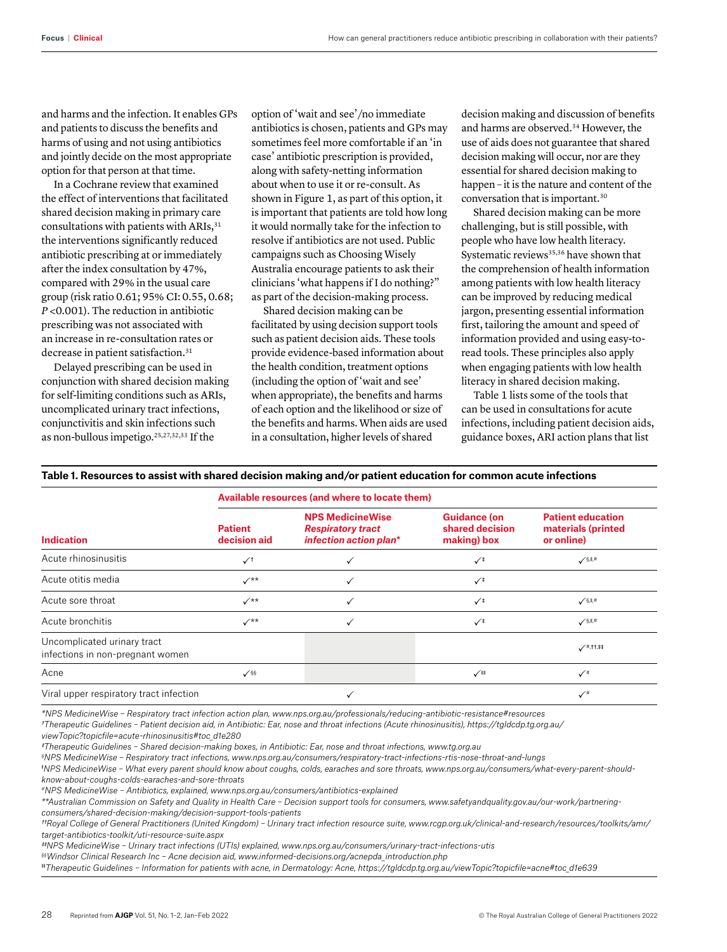and harms and the infection. It enables GPs and patients to discuss the benefits and harms of using and not using antibiotics and jointly decide on the most appropriate option for that person at that time.

In a Cochrane review that examined the effect of interventions that facilitated shared decision making in primary care consultations with patients with ARIs, 31 the interventions significantly reduced antibiotic prescribing at or immediately after the index consultation by 47%, compared with 29% in the usual care group (risk ratio 0.61; 95% CI: 0.55, 0.68; *P* <0.001). The reduction in antibiotic prescribing was not associated with an increase in re-consultation rates or decrease in patient satisfaction.<sup>31</sup>

Delayed prescribing can be used in conjunction with shared decision making for self-limiting conditions such as ARIs, uncomplicated urinary tract infections, conjunctivitis and skin infections such as non-bullous impetigo.25,27,32,33 If the

option of 'wait and see'/no immediate antibiotics is chosen, patients and GPs may sometimes feel more comfortable if an 'in case' antibiotic prescription is provided, along with safety-netting information about when to use it or re-consult. As shown in Figure 1, as part of this option, it is important that patients are told how long it would normally take for the infection to resolve if antibiotics are not used. Public campaigns such as Choosing Wisely Australia encourage patients to ask their clinicians 'what happens if I do nothing?" as part of the decision-making process.

Shared decision making can be facilitated by using decision support tools such as patient decision aids. These tools provide evidence-based information about the health condition, treatment options (including the option of 'wait and see' when appropriate), the benefits and harms of each option and the likelihood or size of the benefits and harms. When aids are used in a consultation, higher levels of shared

decision making and discussion of benefits and harms are observed.34 However, the use of aids does not guarantee that shared decision making will occur, nor are they essential for shared decision making to happen – it is the nature and content of the conversation that is important.30

Shared decision making can be more challenging, but is still possible, with people who have low health literacy. Systematic reviews<sup>35,36</sup> have shown that the comprehension of health information among patients with low health literacy can be improved by reducing medical jargon, presenting essential information first, tailoring the amount and speed of information provided and using easy-toread tools. These principles also apply when engaging patients with low health literacy in shared decision making.

Table 1 lists some of the tools that can be used in consultations for acute infections, including patient decision aids, guidance boxes, ARI action plans that list

## **Table 1. Resources to assist with shared decision making and/or patient education for common acute infections**

|                                                                 | Available resources (and where to locate them) |                                                                               |                                                       |                                                              |  |
|-----------------------------------------------------------------|------------------------------------------------|-------------------------------------------------------------------------------|-------------------------------------------------------|--------------------------------------------------------------|--|
| <b>Indication</b>                                               | <b>Patient</b><br>decision aid                 | <b>NPS MedicineWise</b><br><b>Respiratory tract</b><br>infection action plan* | <b>Guidance (on</b><br>shared decision<br>making) box | <b>Patient education</b><br>materials (printed<br>or online) |  |
| Acute rhinosinusitis                                            | $\checkmark$                                   |                                                                               | $\checkmark$                                          | $\checkmark$ s, li, #                                        |  |
| Acute otitis media                                              | $\checkmark^{**}$                              |                                                                               | $\checkmark$                                          |                                                              |  |
| Acute sore throat                                               | $\checkmark^{**}$                              |                                                                               | $\checkmark$                                          | $\sqrt{\S}$ , II, #                                          |  |
| Acute bronchitis                                                | $\checkmark$                                   |                                                                               | $\sqrt{1}$                                            | $\checkmark$ S, II, #                                        |  |
| Uncomplicated urinary tract<br>infections in non-pregnant women |                                                |                                                                               |                                                       | $\checkmark$ #,tt,##                                         |  |
| Acne                                                            | $\checkmark$                                   |                                                                               | $\checkmark$                                          |                                                              |  |
| Viral upper respiratory tract infection                         |                                                |                                                                               |                                                       | $\checkmark$                                                 |  |

*\*NPS MedicineWise – Respiratory tract infection action plan, www.nps.org.au/professionals/reducing-antibiotic-resistance#resources*

*†Therapeutic Guidelines – Patient decision aid, in Antibiotic: Ear, nose and throat infections (Acute rhinosinusitis), https://tgldcdp.tg.org.au/*

*viewTopic?topicfile=acute-rhinosinusitis#toc\_d1e280* 

*‡Therapeutic Guidelines – Shared decision-making boxes, in Antibiotic: Ear, nose and throat infections, [www.tg.org.au](http://www.tg.org.au)* 

*§ NPS MedicineWise – Respiratory tract infections, [www.nps.org.au/consumers/respiratory-tract-infections-rtis-nose-throat-and-lungs](http://www.nps.org.au/consumers/respiratory-tract-infections-rtis-nose-throat-and-lungs)* 

‖ *NPS MedicineWise – What every parent should know about coughs, colds, earaches and sore throats, [www.nps.org.au/consumers/what-every-parent-should](http://www.nps.org.au/consumers/what-every-parent-should-know-about-coughs-colds-earaches-and-sore-throats)[know-about-coughs-colds-earaches-and-sore-throats](http://www.nps.org.au/consumers/what-every-parent-should-know-about-coughs-colds-earaches-and-sore-throats)* 

*#NPS MedicineWise – Antibiotics, explained, [www.nps.org.au/consumers/antibiotics-explained](http://www.nps.org.au/consumers/antibiotics-explained)* 

*\*\*Australian Commission on Safety and Quality in Health Care – Decision support tools for consumers, [www.safetyandquality.gov.au/our-work/partnering](http://www.safetyandquality.gov.au/our-work/partnering-consumers/shared-decision-making/decision-support-tools-patients)[consumers/shared-decision-making/decision-support-tools-patients](http://www.safetyandquality.gov.au/our-work/partnering-consumers/shared-decision-making/decision-support-tools-patients)* 

*††Royal College of General Practitioners (United Kingdom) – Urinary tract infection resource suite, [www.rcgp.org.uk/clinical-and-research/resources/toolkits/amr/](http://www.rcgp.org.uk/clinical-and-research/resources/toolkits/amr/target-antibiotics-toolkit/uti-resource-suite.aspx) [target-antibiotics-toolkit/uti-resource-suite.aspx](http://www.rcgp.org.uk/clinical-and-research/resources/toolkits/amr/target-antibiotics-toolkit/uti-resource-suite.aspx)* 

*‡‡NPS MedicineWise – Urinary tract infections (UTIs) explained, [www.nps.org.au/consumers/urinary-tract-infections-utis](http://www.nps.org.au/consumers/urinary-tract-infections-utis)* 

*§§Windsor Clinical Research Inc – Acne decision aid, [www.informed-decisions.org/acnepda\\_introduction.php](http://www.informed-decisions.org/acnepda_introduction.php)*

‖‖*Therapeutic Guidelines – Information for patients with acne, in Dermatology: Acne, https://tgldcdp.tg.org.au/viewTopic?topicfile=acne#toc\_d1e639*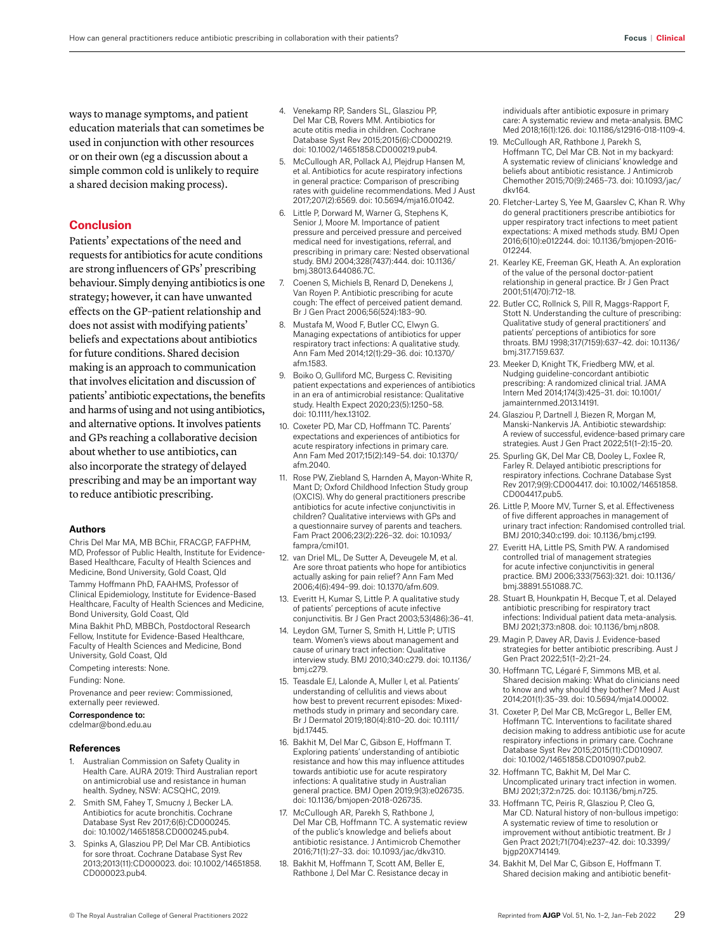ways to manage symptoms, and patient education materials that can sometimes be used in conjunction with other resources or on their own (eg a discussion about a simple common cold is unlikely to require a shared decision making process).

# **Conclusion**

Patients' expectations of the need and requests for antibiotics for acute conditions are strong influencers of GPs' prescribing behaviour. Simply denying antibiotics is one strategy; however, it can have unwanted effects on the GP–patient relationship and does not assist with modifying patients' beliefs and expectations about antibiotics for future conditions. Shared decision making is an approach to communication that involves elicitation and discussion of patients' antibiotic expectations, the benefits and harms of using and not using antibiotics, and alternative options. It involves patients and GPs reaching a collaborative decision about whether to use antibiotics, can also incorporate the strategy of delayed prescribing and may be an important way to reduce antibiotic prescribing.

#### **Authors**

Chris Del Mar MA, MB BChir, FRACGP, FAFPHM, MD, Professor of Public Health, Institute for Evidence-Based Healthcare, Faculty of Health Sciences and Medicine, Bond University, Gold Coast, Qld

Tammy Hoffmann PhD, FAAHMS, Professor of Clinical Epidemiology, Institute for Evidence-Based Healthcare, Faculty of Health Sciences and Medicine, Bond University, Gold Coast, Qld

Mina Bakhit PhD, MBBCh, Postdoctoral Research Fellow, Institute for Evidence-Based Healthcare, Faculty of Health Sciences and Medicine, Bond University, Gold Coast, Qld

Competing interests: None.

Funding: None.

Provenance and peer review: Commissioned, externally peer reviewed.

Correspondence to:

cdelmar@bond.edu.au

#### **References**

- 1. Australian Commission on Safety Quality in Health Care. AURA 2019: Third Australian report on antimicrobial use and resistance in human health. Sydney, NSW: ACSQHC, 2019.
- 2. Smith SM, Fahey T, Smucny J, Becker LA. Antibiotics for acute bronchitis. Cochrane Database Syst Rev 2017;6(6):CD000245. doi: 10.1002/14651858.CD000245.pub4.
- Spinks A, Glasziou PP, Del Mar CB. Antibiotics for sore throat. Cochrane Database Syst Rev 2013;2013(11):CD000023. doi: 10.1002/14651858. CD000023.pub4.
- 4. Venekamp RP, Sanders SL, Glasziou PP, Del Mar CB, Rovers MM. Antibiotics for acute otitis media in children. Cochrane Database Syst Rev 2015;2015(6):CD000219. doi: 10.1002/14651858.CD000219.pub4.
- 5. McCullough AR, Pollack AJ, Plejdrup Hansen M, et al. Antibiotics for acute respiratory infections in general practice: Comparison of prescribing rates with guideline recommendations. Med J Aust 2017;207(2):6569. doi: 10.5694/mja16.01042.
- 6. Little P, Dorward M, Warner G, Stephens K, Senior J, Moore M. Importance of patient pressure and perceived pressure and perceived medical need for investigations, referral, and prescribing in primary care: Nested observational study. BMJ 2004;328(7437):444. doi: 10.1136/ bmj.38013.644086.7C.
- 7. Coenen S, Michiels B, Renard D, Denekens J, Van Royen P. Antibiotic prescribing for acute cough: The effect of perceived patient demand. Br J Gen Pract 2006;56(524):183–90.
- 8. Mustafa M, Wood F, Butler CC, Elwyn G. Managing expectations of antibiotics for upper respiratory tract infections: A qualitative study. Ann Fam Med 2014;12(1):29–36. doi: 10.1370/ afm.1583.
- 9. Boiko O, Gulliford MC, Burgess C. Revisiting patient expectations and experiences of antibiotics in an era of antimicrobial resistance: Qualitative study. Health Expect 2020;23(5):1250–58. doi: 10.1111/hex.13102.
- 10. Coxeter PD, Mar CD, Hoffmann TC. Parents' expectations and experiences of antibiotics for acute respiratory infections in primary care. Ann Fam Med 2017;15(2):149–54. doi: 10.1370/ afm.2040.
- 11. Rose PW, Ziebland S, Harnden A, Mayon-White R, Mant D; Oxford Childhood Infection Study group (OXCIS). Why do general practitioners prescribe antibiotics for acute infective conjunctivitis in children? Qualitative interviews with GPs and a questionnaire survey of parents and teachers. Fam Pract 2006;23(2):226–32. doi: 10.1093/ fampra/cmi101.
- 12. van Driel ML, De Sutter A, Deveugele M, et al. Are sore throat patients who hope for antibiotics actually asking for pain relief? Ann Fam Med 2006;4(6):494–99. doi: 10.1370/afm.609.
- 13. Everitt H, Kumar S, Little P. A qualitative study of patients' perceptions of acute infective conjunctivitis. Br J Gen Pract 2003;53(486):36–41.
- 14. Leydon GM, Turner S, Smith H, Little P; UTIS team. Women's views about management and cause of urinary tract infection: Qualitative interview study. BMJ 2010;340:c279. doi: 10.1136/ bmj.c279.
- 15. Teasdale EJ, Lalonde A, Muller I, et al. Patients' understanding of cellulitis and views about how best to prevent recurrent episodes: Mixedmethods study in primary and secondary care. Br J Dermatol 2019;180(4):810–20. doi: 10.1111/ bjd.17445.
- 16. Bakhit M, Del Mar C, Gibson E, Hoffmann T. Exploring patients' understanding of antibiotic resistance and how this may influence attitudes towards antibiotic use for acute respiratory infections: A qualitative study in Australian general practice. BMJ Open 2019;9(3):e026735. doi: 10.1136/bmjopen-2018-026735.
- 17. McCullough AR, Parekh S, Rathbone J, Del Mar CB, Hoffmann TC. A systematic review of the public's knowledge and beliefs about antibiotic resistance. J Antimicrob Chemother 2016;71(1):27–33. doi: 10.1093/jac/dkv310.
- 18. Bakhit M, Hoffmann T, Scott AM, Beller E, Rathbone J, Del Mar C. Resistance decay in

individuals after antibiotic exposure in primary care: A systematic review and meta-analysis. BMC Med 2018;16(1):126. doi: 10.1186/s12916-018-1109-4.

- 19. McCullough AR, Rathbone J, Parekh S, Hoffmann TC, Del Mar CB. Not in my backyard: A systematic review of clinicians' knowledge and beliefs about antibiotic resistance. J Antimicrob Chemother 2015;70(9):2465–73. doi: 10.1093/jac/ dkv164.
- 20. Fletcher-Lartey S, Yee M, Gaarslev C, Khan R. Why do general practitioners prescribe antibiotics for upper respiratory tract infections to meet patient expectations: A mixed methods study. BMJ Open 2016;6(10):e012244. doi: 10.1136/bmjopen-2016- 012244.
- 21. Kearley KE, Freeman GK, Heath A. An exploration of the value of the personal doctor-patient relationship in general practice. Br J Gen Pract 2001;51(470):712–18.
- 22. Butler CC, Rollnick S, Pill R, Maggs-Rapport F, Stott N. Understanding the culture of prescribing: Qualitative study of general practitioners' and patients' perceptions of antibiotics for sore throats. BMJ 1998;317(7159):637–42. doi: 10.1136/ bmj.317.7159.637.
- 23. Meeker D, Knight TK, Friedberg MW, et al. Nudging guideline-concordant antibiotic prescribing: A randomized clinical trial. JAMA Intern Med 2014;174(3):425–31. doi: 10.1001/ jamainternmed.2013.14191.
- 24. Glasziou P, Dartnell J, Biezen R, Morgan M, Manski-Nankervis JA. Antibiotic stewardship: A review of successful, evidence-based primary care strategies. Aust J Gen Pract 2022;51(1–2):15–20.
- 25. Spurling GK, Del Mar CB, Dooley L, Foxlee R, Farley R. Delayed antibiotic prescriptions for respiratory infections. Cochrane Database Syst Rev 2017;9(9):CD004417. doi: 10.1002/14651858. CD004417.pub5.
- 26. Little P, Moore MV, Turner S, et al. Effectiveness of five different approaches in management of urinary tract infection: Randomised controlled trial. BMJ 2010;340:c199. doi: 10.1136/bmj.c199.
- 27. Everitt HA, Little PS, Smith PW. A randomised controlled trial of management strategies for acute infective conjunctivitis in general practice. BMJ 2006;333(7563):321. doi: 10.1136/ bmj.38891.551088.7C.
- 28. Stuart B, Hounkpatin H, Becque T, et al. Delayed antibiotic prescribing for respiratory tract infections: Individual patient data meta-analysis. BMJ 2021;373:n808. doi: 10.1136/bmj.n808.
- 29. Magin P, Davey AR, Davis J. Evidence-based strategies for better antibiotic prescribing. Aust J Gen Pract 2022;51(1–2):21–24.
- 30. Hoffmann TC, Légaré F, Simmons MB, et al. Shared decision making: What do clinicians need to know and why should they bother? Med J Aust 2014;201(1):35–39. doi: 10.5694/mja14.00002.
- 31. Coxeter P, Del Mar CB, McGregor L, Beller EM, Hoffmann TC. Interventions to facilitate shared decision making to address antibiotic use for acute respiratory infections in primary care. Cochrane Database Syst Rev 2015;2015(11):CD010907. doi: 10.1002/14651858.CD010907.pub2.
- 32. Hoffmann TC, Bakhit M, Del Mar C. Uncomplicated urinary tract infection in women. BMJ 2021;372:n725. doi: 10.1136/bmj.n725.
- 33. Hoffmann TC, Peiris R, Glasziou P, Cleo G, Mar CD. Natural history of non-bullous impetigo: A systematic review of time to resolution or improvement without antibiotic treatment. Br J Gen Pract 2021;71(704):e237–42. doi: 10.3399/ bjgp20X714149.
- 34. Bakhit M, Del Mar C, Gibson E, Hoffmann T. Shared decision making and antibiotic benefit-